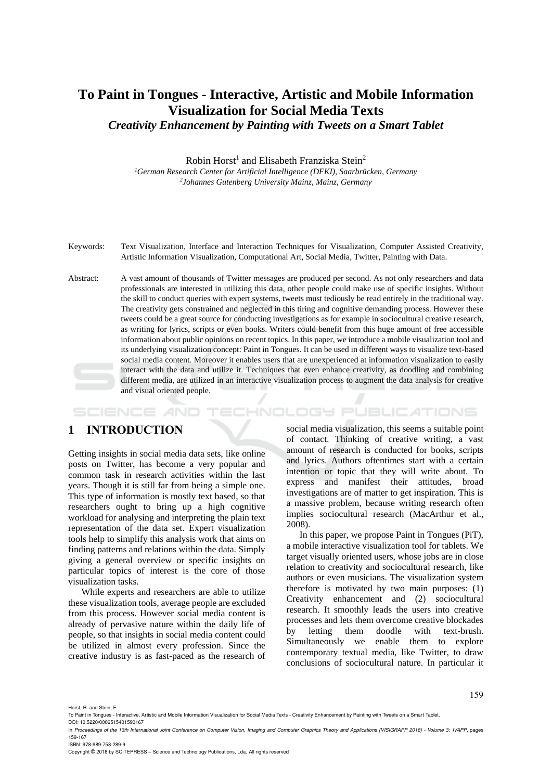## **To Paint in Tongues - Interactive, Artistic and Mobile Information Visualization for Social Media Texts**  *Creativity Enhancement by Painting with Tweets on a Smart Tablet*

Robin Horst<sup>1</sup> and Elisabeth Franziska Stein<sup>2</sup> *<sup>1</sup>German Research Center for Artificial Intelligence (DFKI), Saarbrücken, Germany 2 Johannes Gutenberg University Mainz, Mainz, Germany*

Keywords: Text Visualization, Interface and Interaction Techniques for Visualization, Computer Assisted Creativity, Artistic Information Visualization, Computational Art, Social Media, Twitter, Painting with Data.

Abstract: A vast amount of thousands of Twitter messages are produced per second. As not only researchers and data professionals are interested in utilizing this data, other people could make use of specific insights. Without the skill to conduct queries with expert systems, tweets must tediously be read entirely in the traditional way. The creativity gets constrained and neglected in this tiring and cognitive demanding process. However these tweets could be a great source for conducting investigations as for example in sociocultural creative research, as writing for lyrics, scripts or even books. Writers could benefit from this huge amount of free accessible information about public opinions on recent topics. In this paper, we introduce a mobile visualization tool and its underlying visualization concept: Paint in Tongues. It can be used in different ways to visualize text-based social media content. Moreover it enables users that are unexperienced at information visualization to easily interact with the data and utilize it. Techniques that even enhance creativity, as doodling and combining different media, are utilized in an interactive visualization process to augment the data analysis for creative and visual oriented people.

*IHNOLOGY PUBLICATIONS* SCIENCE *A*ND

## **1 INTRODUCTION**

Getting insights in social media data sets, like online posts on Twitter, has become a very popular and common task in research activities within the last years. Though it is still far from being a simple one. This type of information is mostly text based, so that researchers ought to bring up a high cognitive workload for analysing and interpreting the plain text representation of the data set. Expert visualization tools help to simplify this analysis work that aims on finding patterns and relations within the data. Simply giving a general overview or specific insights on particular topics of interest is the core of those visualization tasks.

While experts and researchers are able to utilize these visualization tools, average people are excluded from this process. However social media content is already of pervasive nature within the daily life of people, so that insights in social media content could be utilized in almost every profession. Since the creative industry is as fast-paced as the research of

social media visualization, this seems a suitable point of contact. Thinking of creative writing, a vast amount of research is conducted for books, scripts and lyrics. Authors oftentimes start with a certain intention or topic that they will write about. To express and manifest their attitudes, broad investigations are of matter to get inspiration. This is a massive problem, because writing research often implies sociocultural research (MacArthur et al., 2008).

In this paper, we propose Paint in Tongues (PiT), a mobile interactive visualization tool for tablets. We target visually oriented users, whose jobs are in close relation to creativity and sociocultural research, like authors or even musicians. The visualization system therefore is motivated by two main purposes: (1) Creativity enhancement and (2) sociocultural research. It smoothly leads the users into creative processes and lets them overcome creative blockades by letting them doodle with text-brush. Simultaneously we enable them to explore contemporary textual media, like Twitter, to draw conclusions of sociocultural nature. In particular it

159

Horst, R. and Stein, E.

DOI: 10.5220/0006515401590167

Copyright © 2018 by SCITEPRESS – Science and Technology Publications, Lda. All rights reserved

To Paint in Tongues - Interactive, Artistic and Mobile Information Visualization for Social Media Texts - Creativity Enhancement by Painting with Tweets on a Smart Tablet

In *Proceedings of the 13th International Joint Conference on Computer Vision, Imaging and Computer Graphics Theory and Applications (VISIGRAPP 2018) - Volume 3: IVAPP*, pages 159-167 ISBN: 978-989-758-289-9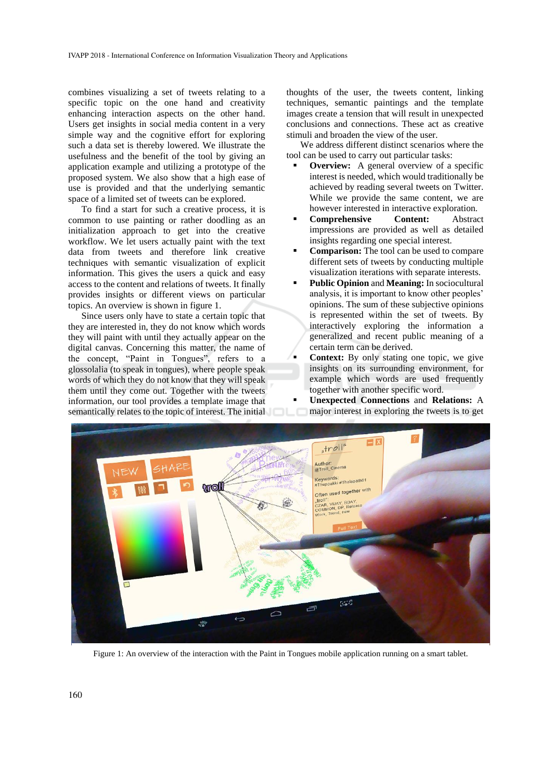combines visualizing a set of tweets relating to a specific topic on the one hand and creativity enhancing interaction aspects on the other hand. Users get insights in social media content in a very simple way and the cognitive effort for exploring such a data set is thereby lowered. We illustrate the usefulness and the benefit of the tool by giving an application example and utilizing a prototype of the proposed system. We also show that a high ease of use is provided and that the underlying semantic space of a limited set of tweets can be explored.

To find a start for such a creative process, it is common to use painting or rather doodling as an initialization approach to get into the creative workflow. We let users actually paint with the text data from tweets and therefore link creative techniques with semantic visualization of explicit information. This gives the users a quick and easy access to the content and relations of tweets. It finally provides insights or different views on particular topics. An overview is shown in figure 1.

Since users only have to state a certain topic that they are interested in, they do not know which words they will paint with until they actually appear on the digital canvas. Concerning this matter, the name of the concept, "Paint in Tongues", refers to a glossolalia (to speak in tongues), where people speak words of which they do not know that they will speak them until they come out. Together with the tweets information, our tool provides a template image that semantically relates to the topic of interest. The initial

thoughts of the user, the tweets content, linking techniques, semantic paintings and the template images create a tension that will result in unexpected conclusions and connections. These act as creative stimuli and broaden the view of the user.

We address different distinct scenarios where the tool can be used to carry out particular tasks:

- **Overview:** A general overview of a specific interest is needed, which would traditionally be achieved by reading several tweets on Twitter. While we provide the same content, we are however interested in interactive exploration.
- **Comprehensive Content:** Abstract impressions are provided as well as detailed insights regarding one special interest.
- **Comparison:** The tool can be used to compare different sets of tweets by conducting multiple visualization iterations with separate interests.
- Public Opinion and Meaning: In sociocultural analysis, it is important to know other peoples' opinions. The sum of these subjective opinions is represented within the set of tweets. By interactively exploring the information a generalized and recent public meaning of a certain term can be derived.
- **Context:** By only stating one topic, we give insights on its surrounding environment, for example which words are used frequently together with another specific word.
	- **Unexpected Connections** and **Relations:** A major interest in exploring the tweets is to get



Figure 1: An overview of the interaction with the Paint in Tongues mobile application running on a smart tablet.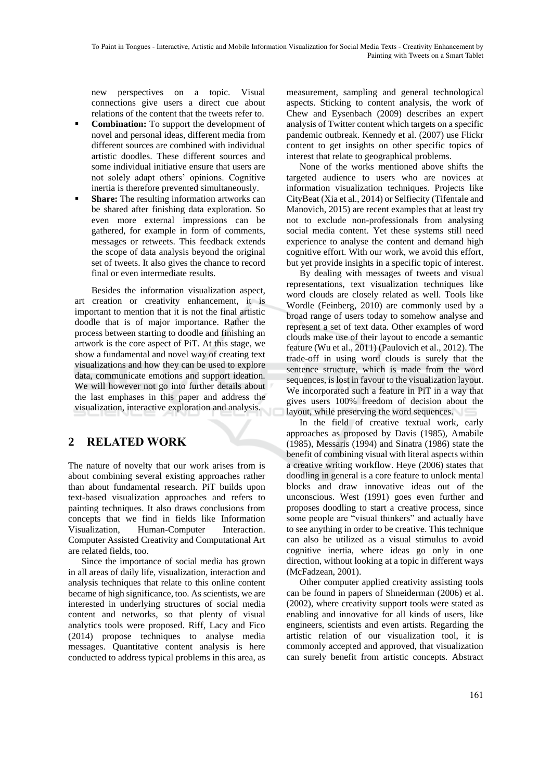new perspectives on a topic. Visual connections give users a direct cue about relations of the content that the tweets refer to.

- **Combination:** To support the development of novel and personal ideas, different media from different sources are combined with individual artistic doodles. These different sources and some individual initiative ensure that users are not solely adapt others' opinions. Cognitive inertia is therefore prevented simultaneously.
- **Share:** The resulting information artworks can be shared after finishing data exploration. So even more external impressions can be gathered, for example in form of comments, messages or retweets. This feedback extends the scope of data analysis beyond the original set of tweets. It also gives the chance to record final or even intermediate results.

Besides the information visualization aspect, art creation or creativity enhancement, it is important to mention that it is not the final artistic doodle that is of major importance. Rather the process between starting to doodle and finishing an artwork is the core aspect of PiT. At this stage, we show a fundamental and novel way of creating text visualizations and how they can be used to explore data, communicate emotions and support ideation. We will however not go into further details about the last emphases in this paper and address the visualization, interactive exploration and analysis.

### **2 RELATED WORK**

The nature of novelty that our work arises from is about combining several existing approaches rather than about fundamental research. PiT builds upon text-based visualization approaches and refers to painting techniques. It also draws conclusions from concepts that we find in fields like Information Visualization, Human-Computer Interaction. Computer Assisted Creativity and Computational Art are related fields, too.

Since the importance of social media has grown in all areas of daily life, visualization, interaction and analysis techniques that relate to this online content became of high significance, too. As scientists, we are interested in underlying structures of social media content and networks, so that plenty of visual analytics tools were proposed. Riff, Lacy and Fico (2014) propose techniques to analyse media messages. Quantitative content analysis is here conducted to address typical problems in this area, as

measurement, sampling and general technological aspects. Sticking to content analysis, the work of Chew and Eysenbach (2009) describes an expert analysis of Twitter content which targets on a specific pandemic outbreak. Kennedy et al. (2007) use Flickr content to get insights on other specific topics of interest that relate to geographical problems.

None of the works mentioned above shifts the targeted audience to users who are novices at information visualization techniques. Projects like CityBeat (Xia et al., 2014) or Selfiecity (Tifentale and Manovich, 2015) are recent examples that at least try not to exclude non-professionals from analysing social media content. Yet these systems still need experience to analyse the content and demand high cognitive effort. With our work, we avoid this effort, but yet provide insights in a specific topic of interest.

By dealing with messages of tweets and visual representations, text visualization techniques like word clouds are closely related as well. Tools like Wordle (Feinberg, 2010) are commonly used by a broad range of users today to somehow analyse and represent a set of text data. Other examples of word clouds make use of their layout to encode a semantic feature (Wu et al., 2011) (Paulovich et al., 2012). The trade-off in using word clouds is surely that the sentence structure, which is made from the word sequences, is lost in favour to the visualization layout. We incorporated such a feature in PiT in a way that gives users 100% freedom of decision about the layout, while preserving the word sequences.

In the field of creative textual work, early approaches as proposed by Davis (1985), Amabile (1985), Messaris (1994) and Sinatra (1986) state the benefit of combining visual with literal aspects within a creative writing workflow. Heye (2006) states that doodling in general is a core feature to unlock mental blocks and draw innovative ideas out of the unconscious. West (1991) goes even further and proposes doodling to start a creative process, since some people are "visual thinkers" and actually have to see anything in order to be creative. This technique can also be utilized as a visual stimulus to avoid cognitive inertia, where ideas go only in one direction, without looking at a topic in different ways (McFadzean, 2001).

Other computer applied creativity assisting tools can be found in papers of Shneiderman (2006) et al. (2002), where creativity support tools were stated as enabling and innovative for all kinds of users, like engineers, scientists and even artists. Regarding the artistic relation of our visualization tool, it is commonly accepted and approved, that visualization can surely benefit from artistic concepts. Abstract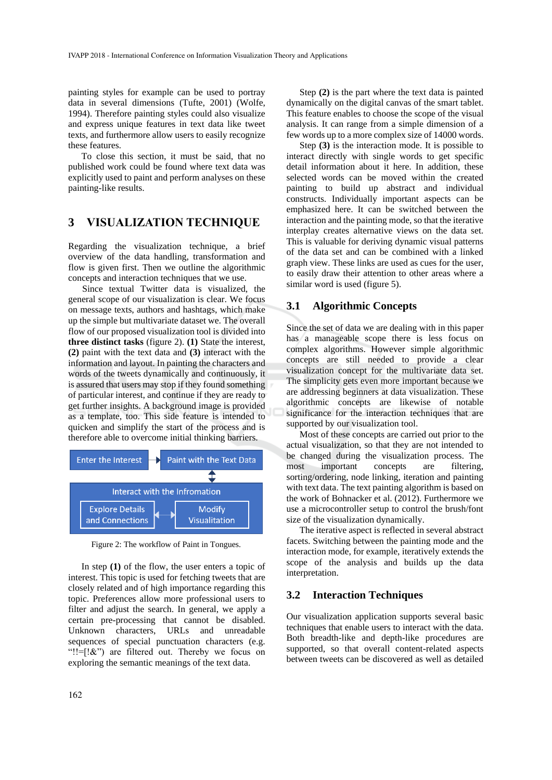painting styles for example can be used to portray data in several dimensions (Tufte, 2001) (Wolfe, 1994). Therefore painting styles could also visualize and express unique features in text data like tweet texts, and furthermore allow users to easily recognize these features.

To close this section, it must be said, that no published work could be found where text data was explicitly used to paint and perform analyses on these painting-like results.

#### **3 VISUALIZATION TECHNIQUE**

Regarding the visualization technique, a brief overview of the data handling, transformation and flow is given first. Then we outline the algorithmic concepts and interaction techniques that we use.

Since textual Twitter data is visualized, the general scope of our visualization is clear. We focus on message texts, authors and hashtags, which make up the simple but multivariate dataset we. The overall flow of our proposed visualization tool is divided into **three distinct tasks** (figure 2). **(1)** State the interest, **(2)** paint with the text data and **(3)** interact with the information and layout. In painting the characters and words of the tweets dynamically and continuously, it is assured that users may stop if they found something of particular interest, and continue if they are ready to get further insights. A background image is provided as a template, too. This side feature is intended to quicken and simplify the start of the process and is therefore able to overcome initial thinking barriers.



Figure 2: The workflow of Paint in Tongues.

In step  $(1)$  of the flow, the user enters a topic of interest. This topic is used for fetching tweets that are closely related and of high importance regarding this topic. Preferences allow more professional users to filter and adjust the search. In general, we apply a certain pre-processing that cannot be disabled. Unknown characters, URLs and unreadable sequences of special punctuation characters (e.g. "!!= $[! \&i>$ ") are filtered out. Thereby we focus on exploring the semantic meanings of the text data.

Step **(2)** is the part where the text data is painted dynamically on the digital canvas of the smart tablet. This feature enables to choose the scope of the visual analysis. It can range from a simple dimension of a few words up to a more complex size of 14000 words.

Step **(3)** is the interaction mode. It is possible to interact directly with single words to get specific detail information about it here. In addition, these selected words can be moved within the created painting to build up abstract and individual constructs. Individually important aspects can be emphasized here. It can be switched between the interaction and the painting mode, so that the iterative interplay creates alternative views on the data set. This is valuable for deriving dynamic visual patterns of the data set and can be combined with a linked graph view. These links are used as cues for the user, to easily draw their attention to other areas where a similar word is used (figure 5).

#### **3.1 Algorithmic Concepts**

Since the set of data we are dealing with in this paper has a manageable scope there is less focus on complex algorithms. However simple algorithmic concepts are still needed to provide a clear visualization concept for the multivariate data set. The simplicity gets even more important because we are addressing beginners at data visualization. These algorithmic concepts are likewise of notable significance for the interaction techniques that are supported by our visualization tool.

Most of these concepts are carried out prior to the actual visualization, so that they are not intended to be changed during the visualization process. The most important concepts are filtering, sorting/ordering, node linking, iteration and painting with text data. The text painting algorithm is based on the work of Bohnacker et al. (2012). Furthermore we use a microcontroller setup to control the brush/font size of the visualization dynamically.

The iterative aspect is reflected in several abstract facets. Switching between the painting mode and the interaction mode, for example, iteratively extends the scope of the analysis and builds up the data interpretation.

#### **3.2 Interaction Techniques**

Our visualization application supports several basic techniques that enable users to interact with the data. Both breadth-like and depth-like procedures are supported, so that overall content-related aspects between tweets can be discovered as well as detailed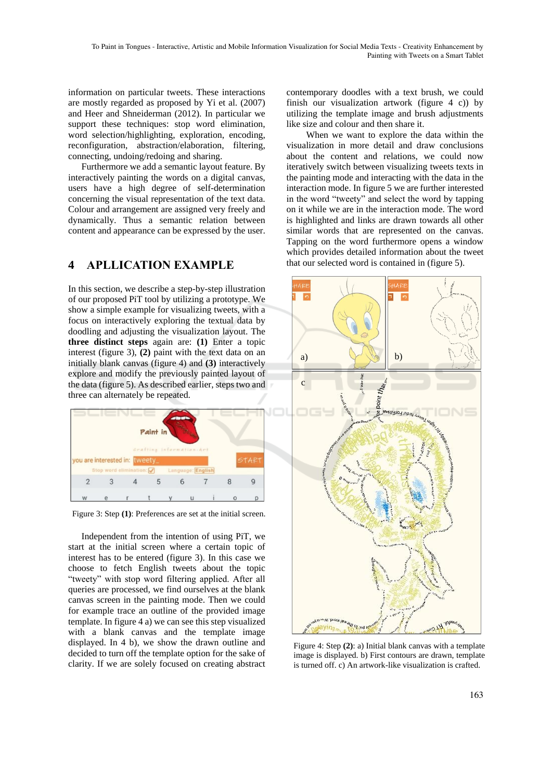information on particular tweets. These interactions are mostly regarded as proposed by Yi et al. (2007) and Heer and Shneiderman (2012). In particular we support these techniques: stop word elimination, word selection/highlighting, exploration, encoding, reconfiguration, abstraction/elaboration, filtering, connecting, undoing/redoing and sharing.

Furthermore we add a semantic layout feature. By interactively painting the words on a digital canvas, users have a high degree of self-determination concerning the visual representation of the text data. Colour and arrangement are assigned very freely and dynamically. Thus a semantic relation between content and appearance can be expressed by the user.

### **4 APLLICATION EXAMPLE**

In this section, we describe a step-by-step illustration of our proposed PiT tool by utilizing a prototype. We show a simple example for visualizing tweets, with a focus on interactively exploring the textual data by doodling and adjusting the visualization layout. The **three distinct steps** again are: **(1)** Enter a topic interest (figure 3), **(2)** paint with the text data on an initially blank canvas (figure 4) and **(3)** interactively explore and modify the previously painted layout of the data (figure 5). As described earlier, steps two and three can alternately be repeated.



Figure 3: Step **(1)**: Preferences are set at the initial screen.

Independent from the intention of using PiT, we start at the initial screen where a certain topic of interest has to be entered (figure 3). In this case we choose to fetch English tweets about the topic "tweety" with stop word filtering applied. After all queries are processed, we find ourselves at the blank canvas screen in the painting mode. Then we could for example trace an outline of the provided image template. In figure 4 a) we can see this step visualized with a blank canvas and the template image displayed. In 4 b), we show the drawn outline and decided to turn off the template option for the sake of clarity. If we are solely focused on creating abstract contemporary doodles with a text brush, we could finish our visualization artwork (figure 4 c)) by utilizing the template image and brush adjustments like size and colour and then share it.

When we want to explore the data within the visualization in more detail and draw conclusions about the content and relations, we could now iteratively switch between visualizing tweets texts in the painting mode and interacting with the data in the interaction mode. In figure 5 we are further interested in the word "tweety" and select the word by tapping on it while we are in the interaction mode. The word is highlighted and links are drawn towards all other similar words that are represented on the canvas. Tapping on the word furthermore opens a window which provides detailed information about the tweet that our selected word is contained in (figure 5).



Figure 4: Step **(2)**: a) Initial blank canvas with a template image is displayed. b) First contours are drawn, template is turned off. c) An artwork-like visualization is crafted.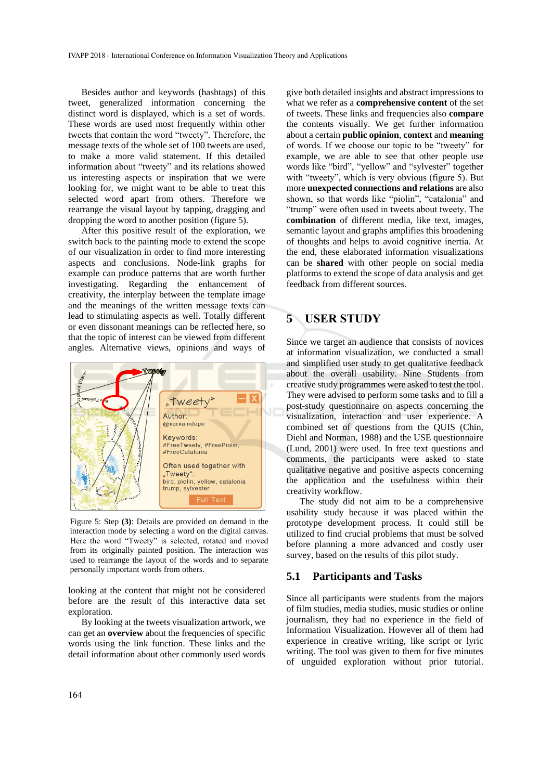Besides author and keywords (hashtags) of this tweet, generalized information concerning the distinct word is displayed, which is a set of words. These words are used most frequently within other tweets that contain the word "tweety". Therefore, the message texts of the whole set of 100 tweets are used, to make a more valid statement. If this detailed information about "tweety" and its relations showed us interesting aspects or inspiration that we were looking for, we might want to be able to treat this selected word apart from others. Therefore we rearrange the visual layout by tapping, dragging and dropping the word to another position (figure 5).

After this positive result of the exploration, we switch back to the painting mode to extend the scope of our visualization in order to find more interesting aspects and conclusions. Node-link graphs for example can produce patterns that are worth further investigating. Regarding the enhancement of creativity, the interplay between the template image and the meanings of the written message texts can lead to stimulating aspects as well. Totally different or even dissonant meanings can be reflected here, so that the topic of interest can be viewed from different angles. Alternative views, opinions and ways of



Figure 5: Step **(3)**: Details are provided on demand in the interaction mode by selecting a word on the digital canvas. Here the word "Tweety" is selected, rotated and moved from its originally painted position. The interaction was used to rearrange the layout of the words and to separate personally important words from others.

looking at the content that might not be considered before are the result of this interactive data set exploration.

By looking at the tweets visualization artwork, we can get an **overview** about the frequencies of specific words using the link function. These links and the detail information about other commonly used words

give both detailed insights and abstract impressions to what we refer as a **comprehensive content** of the set of tweets. These links and frequencies also **compare** the contents visually. We get further information about a certain **public opinion**, **context** and **meaning** of words. If we choose our topic to be "tweety" for example, we are able to see that other people use words like "bird", "yellow" and "sylvester" together with "tweety", which is very obvious (figure 5). But more **unexpected connections and relations** are also shown, so that words like "piolin", "catalonia" and "trump" were often used in tweets about tweety. The **combination** of different media, like text, images, semantic layout and graphs amplifies this broadening of thoughts and helps to avoid cognitive inertia. At the end, these elaborated information visualizations can be **shared** with other people on social media platforms to extend the scope of data analysis and get feedback from different sources.

#### **5 USER STUDY**

Since we target an audience that consists of novices at information visualization, we conducted a small and simplified user study to get qualitative feedback about the overall usability. Nine Students from creative study programmes were asked to test the tool. They were advised to perform some tasks and to fill a post-study questionnaire on aspects concerning the visualization, interaction and user experience. A combined set of questions from the QUIS (Chin, Diehl and Norman, 1988) and the USE questionnaire (Lund, 2001) were used. In free text questions and comments, the participants were asked to state qualitative negative and positive aspects concerning the application and the usefulness within their creativity workflow.

The study did not aim to be a comprehensive usability study because it was placed within the prototype development process. It could still be utilized to find crucial problems that must be solved before planning a more advanced and costly user survey, based on the results of this pilot study.

#### **5.1 Participants and Tasks**

Since all participants were students from the majors of film studies, media studies, music studies or online journalism, they had no experience in the field of Information Visualization. However all of them had experience in creative writing, like script or lyric writing. The tool was given to them for five minutes of unguided exploration without prior tutorial.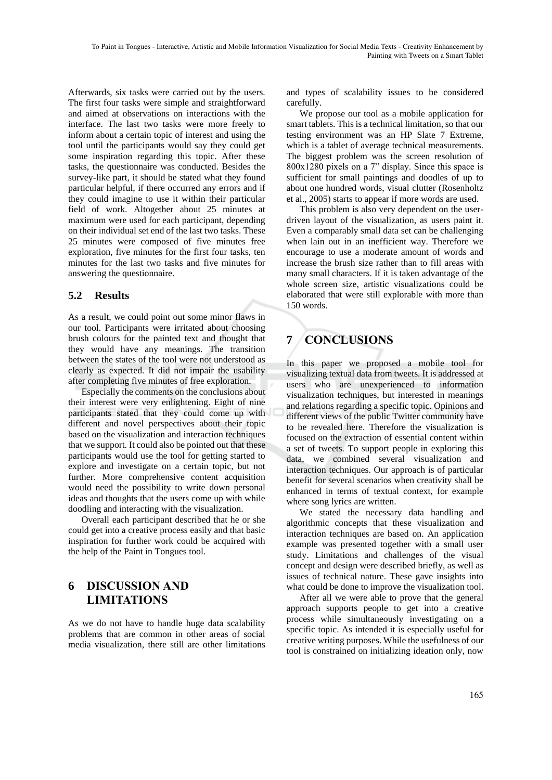Afterwards, six tasks were carried out by the users. The first four tasks were simple and straightforward and aimed at observations on interactions with the interface. The last two tasks were more freely to inform about a certain topic of interest and using the tool until the participants would say they could get some inspiration regarding this topic. After these tasks, the questionnaire was conducted. Besides the survey-like part, it should be stated what they found particular helpful, if there occurred any errors and if they could imagine to use it within their particular field of work. Altogether about 25 minutes at maximum were used for each participant, depending on their individual set end of the last two tasks. These 25 minutes were composed of five minutes free exploration, five minutes for the first four tasks, ten minutes for the last two tasks and five minutes for answering the questionnaire.

### **5.2 Results**

As a result, we could point out some minor flaws in our tool. Participants were irritated about choosing brush colours for the painted text and thought that they would have any meanings. The transition between the states of the tool were not understood as clearly as expected. It did not impair the usability after completing five minutes of free exploration.

Especially the comments on the conclusions about their interest were very enlightening. Eight of nine participants stated that they could come up with different and novel perspectives about their topic based on the visualization and interaction techniques that we support. It could also be pointed out that these participants would use the tool for getting started to explore and investigate on a certain topic, but not further. More comprehensive content acquisition would need the possibility to write down personal ideas and thoughts that the users come up with while doodling and interacting with the visualization.

Overall each participant described that he or she could get into a creative process easily and that basic inspiration for further work could be acquired with the help of the Paint in Tongues tool.

## **6 DISCUSSION AND LIMITATIONS**

As we do not have to handle huge data scalability problems that are common in other areas of social media visualization, there still are other limitations

and types of scalability issues to be considered carefully.

We propose our tool as a mobile application for smart tablets. This is a technical limitation, so that our testing environment was an HP Slate 7 Extreme, which is a tablet of average technical measurements. The biggest problem was the screen resolution of 800x1280 pixels on a 7" display. Since this space is sufficient for small paintings and doodles of up to about one hundred words, visual clutter (Rosenholtz et al., 2005) starts to appear if more words are used.

This problem is also very dependent on the userdriven layout of the visualization, as users paint it. Even a comparably small data set can be challenging when lain out in an inefficient way. Therefore we encourage to use a moderate amount of words and increase the brush size rather than to fill areas with many small characters. If it is taken advantage of the whole screen size, artistic visualizations could be elaborated that were still explorable with more than 150 words.

# **7 CONCLUSIONS**

In this paper we proposed a mobile tool for visualizing textual data from tweets. It is addressed at users who are unexperienced to information visualization techniques, but interested in meanings and relations regarding a specific topic. Opinions and different views of the public Twitter community have to be revealed here. Therefore the visualization is focused on the extraction of essential content within a set of tweets. To support people in exploring this data, we combined several visualization and interaction techniques. Our approach is of particular benefit for several scenarios when creativity shall be enhanced in terms of textual context, for example where song lyrics are written.

We stated the necessary data handling and algorithmic concepts that these visualization and interaction techniques are based on. An application example was presented together with a small user study. Limitations and challenges of the visual concept and design were described briefly, as well as issues of technical nature. These gave insights into what could be done to improve the visualization tool.

After all we were able to prove that the general approach supports people to get into a creative process while simultaneously investigating on a specific topic. As intended it is especially useful for creative writing purposes. While the usefulness of our tool is constrained on initializing ideation only, now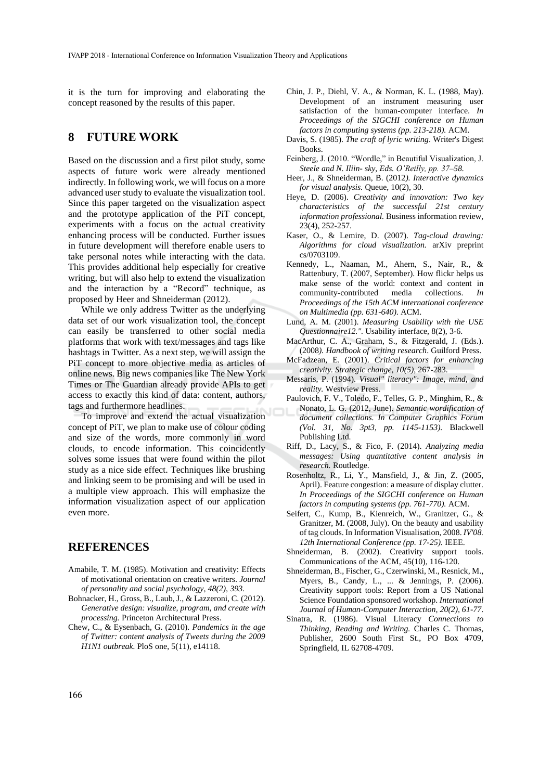it is the turn for improving and elaborating the concept reasoned by the results of this paper.

#### **8 FUTURE WORK**

Based on the discussion and a first pilot study, some aspects of future work were already mentioned indirectly. In following work, we will focus on a more advanced user study to evaluate the visualization tool. Since this paper targeted on the visualization aspect and the prototype application of the PiT concept, experiments with a focus on the actual creativity enhancing process will be conducted. Further issues in future development will therefore enable users to take personal notes while interacting with the data. This provides additional help especially for creative writing, but will also help to extend the visualization and the interaction by a "Record" technique, as proposed by Heer and Shneiderman (2012).

While we only address Twitter as the underlying data set of our work visualization tool, the concept can easily be transferred to other social media platforms that work with text/messages and tags like hashtags in Twitter. As a next step, we will assign the PiT concept to more objective media as articles of online news. Big news companies like The New York Times or The Guardian already provide APIs to get access to exactly this kind of data: content, authors, tags and furthermore headlines.

To improve and extend the actual visualization concept of PiT, we plan to make use of colour coding and size of the words, more commonly in word clouds, to encode information. This coincidently solves some issues that were found within the pilot study as a nice side effect. Techniques like brushing and linking seem to be promising and will be used in a multiple view approach. This will emphasize the information visualization aspect of our application even more.

#### **REFERENCES**

- Amabile, T. M. (1985). Motivation and creativity: Effects of motivational orientation on creative writers. *Journal of personality and social psychology, 48(2), 393.*
- Bohnacker, H., Gross, B., Laub, J., & Lazzeroni, C. (2012). *Generative design: visualize, program, and create with processing.* Princeton Architectural Press.
- Chew, C., & Eysenbach, G. (2010). *Pandemics in the age of Twitter: content analysis of Tweets during the 2009 H1N1 outbreak.* PloS one, 5(11), e14118.
- Chin, J. P., Diehl, V. A., & Norman, K. L. (1988, May). Development of an instrument measuring user satisfaction of the human-computer interface. *In Proceedings of the SIGCHI conference on Human factors in computing systems (pp. 213-218).* ACM.
- Davis, S. (1985). *The craft of lyric writing*. Writer's Digest Books.
- Feinberg, J. (2010. "Wordle," in Beautiful Visualization, J. *Steele and N. Iliin- sky, Eds. O'Reilly, pp. 37–58.*
- Heer, J., & Shneiderman, B. (2012*). Interactive dynamics for visual analysis.* Queue, 10(2), 30.
- Heye, D. (2006). *Creativity and innovation: Two key characteristics of the successful 21st century information professional.* Business information review, 23(4), 252-257.
- Kaser, O., & Lemire, D. (2007). *Tag-cloud drawing: Algorithms for cloud visualization.* arXiv preprint cs/0703109.
- Kennedy, L., Naaman, M., Ahern, S., Nair, R., & Rattenbury, T. (2007, September). How flickr helps us make sense of the world: context and content in community-contributed media collections. *In Proceedings of the 15th ACM international conference on Multimedia (pp. 631-640)*. ACM.
- Lund, A. M. (2001). *Measuring Usability with the USE Questionnaire12.".* Usability interface, 8(2), 3-6.
- MacArthur, C. A., Graham, S., & Fitzgerald, J. (Eds.). (2008*). Handbook of writing research*. Guilford Press.
- McFadzean, E. (2001). *Critical factors for enhancing creativity. Strategic change, 10(5),* 267-283.
- Messaris, P. (1994). *Visual" literacy": Image, mind, and reality.* Westview Press.
- Paulovich, F. V., Toledo, F., Telles, G. P., Minghim, R., & Nonato, L. G. (2012, June). *Semantic wordification of document collections. In Computer Graphics Forum (Vol. 31, No. 3pt3, pp. 1145-1153).* Blackwell Publishing Ltd.
- Riff, D., Lacy, S., & Fico, F. (2014). *Analyzing media messages: Using quantitative content analysis in research.* Routledge.
- Rosenholtz, R., Li, Y., Mansfield, J., & Jin, Z. (2005, April). Feature congestion: a measure of display clutter. *In Proceedings of the SIGCHI conference on Human factors in computing systems (pp. 761-770).* ACM.
- Seifert, C., Kump, B., Kienreich, W., Granitzer, G., & Granitzer, M. (2008, July). On the beauty and usability of tag clouds. In Information Visualisation, 2008. *IV'08. 12th International Conference (pp. 17-25).* IEEE.
- Shneiderman, B. (2002). Creativity support tools. Communications of the ACM, 45(10), 116-120.
- Shneiderman, B., Fischer, G., Czerwinski, M., Resnick, M., Myers, B., Candy, L., ... & Jennings, P. (2006). Creativity support tools: Report from a US National Science Foundation sponsored workshop. *International Journal of Human-Computer Interaction, 20(2), 61-77*.
- Sinatra, R. (1986). Visual Literacy *Connections to Thinking, Reading and Writing.* Charles C. Thomas, Publisher, 2600 South First St., PO Box 4709, Springfield, IL 62708-4709.